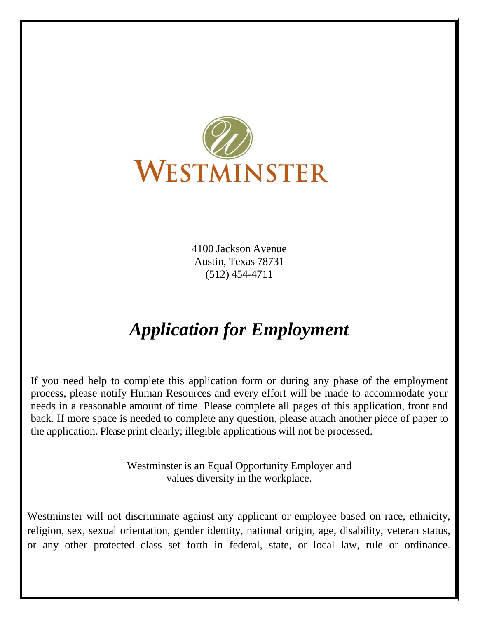

4100 Jackson Avenue Austin, Texas 78731 (512) 454-4711

# *Application for Employment*

If you need help to complete this application form or during any phase of the employment process, please notify Human Resources and every effort will be made to accommodate your needs in a reasonable amount of time. Please complete all pages of this application, front and back. If more space is needed to complete any question, please attach another piece of paper to the application. Please print clearly; illegible applications will not be processed.

> Westminster is an Equal Opportunity Employer and values diversity in the workplace.

Westminster will not discriminate against any applicant or employee based on race, ethnicity, religion, sex, sexual orientation, gender identity, national origin, age, disability, veteran status, or any other protected class set forth in federal, state, or local law, rule or ordinance.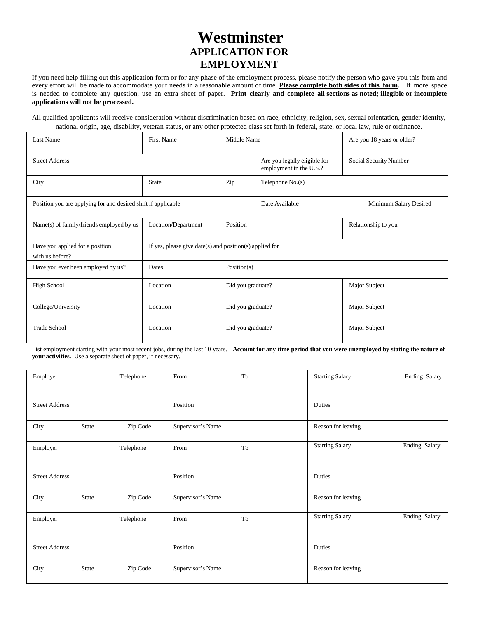## **Westminster APPLICATION FOR EMPLOYMENT**

If you need help filling out this application form or for any phase of the employment process, please notify the person who gave you this form and every effort will be made to accommodate your needs in a reasonable amount of time. **Please complete both sides of this form.** If more space is needed to complete any question, use an extra sheet of paper. **Print clearly and complete all sections as noted; illegible or incomplete applications will not be processed.**

All qualified applicants will receive consideration without discrimination based on race, ethnicity, religion, sex, sexual orientation, gender identity, national origin, age, disability, veteran status, or any other protected class set forth in federal, state, or local law, rule or ordinance.

| Last Name                                                     | <b>First Name</b>                                       | Middle Name              |                                                         | Are you 18 years or older? |
|---------------------------------------------------------------|---------------------------------------------------------|--------------------------|---------------------------------------------------------|----------------------------|
| <b>Street Address</b>                                         |                                                         |                          | Are you legally eligible for<br>employment in the U.S.? | Social Security Number     |
| City                                                          | <b>State</b>                                            | Telephone $No(s)$<br>Zip |                                                         |                            |
| Position you are applying for and desired shift if applicable |                                                         |                          | Date Available                                          | Minimum Salary Desired     |
| Name(s) of family/friends employed by us                      | Location/Department                                     | Position                 |                                                         | Relationship to you        |
| Have you applied for a position<br>with us before?            | If yes, please give date(s) and position(s) applied for |                          |                                                         |                            |
| Have you ever been employed by us?                            | Dates                                                   | Position(s)              |                                                         |                            |
| <b>High School</b>                                            | Location                                                | Did you graduate?        |                                                         | Major Subject              |
| College/University                                            | Location                                                | Did you graduate?        |                                                         | Major Subject              |
| <b>Trade School</b>                                           | Location                                                | Did you graduate?        |                                                         | Major Subject              |

List employment starting with your most recent jobs, during the last 10 years. Account for any time period that you were unemployed by stating the nature of **your activities.** Use a separate sheet of paper, if necessary.

| Employer              |       | Telephone | From              | To | <b>Starting Salary</b> | Ending Salary        |
|-----------------------|-------|-----------|-------------------|----|------------------------|----------------------|
| <b>Street Address</b> |       |           | Position          |    | Duties                 |                      |
| City                  | State | Zip Code  | Supervisor's Name |    | Reason for leaving     |                      |
| Employer              |       | Telephone | From              | To | <b>Starting Salary</b> | <b>Ending Salary</b> |
| <b>Street Address</b> |       |           | Position          |    | Duties                 |                      |
| City                  | State | Zip Code  | Supervisor's Name |    | Reason for leaving     |                      |
| Employer              |       | Telephone | From              | To | <b>Starting Salary</b> | Ending Salary        |
| <b>Street Address</b> |       |           | Position          |    | Duties                 |                      |
| City                  | State | Zip Code  | Supervisor's Name |    | Reason for leaving     |                      |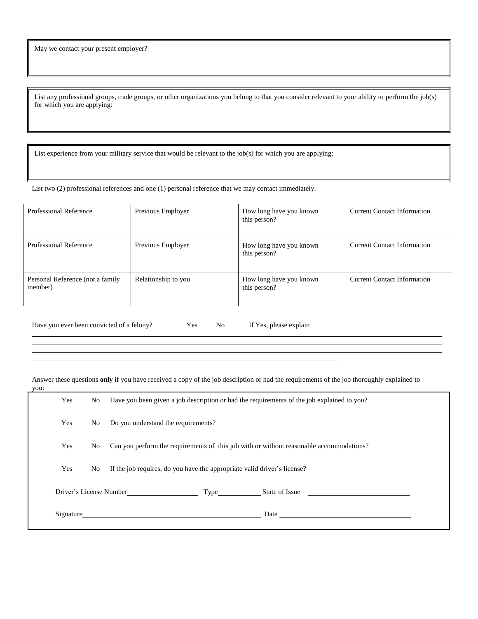List any professional groups, trade groups, or other organizations you belong to that you consider relevant to your ability to perform the job(s) for which you are applying:

List experience from your military service that would be relevant to the job(s) for which you are applying:

List two (2) professional references and one (1) personal reference that we may contact immediately.

| <b>Professional Reference</b>               | Previous Employer   | How long have you known<br>this person? | <b>Current Contact Information</b> |
|---------------------------------------------|---------------------|-----------------------------------------|------------------------------------|
| <b>Professional Reference</b>               | Previous Employer   | How long have you known<br>this person? | <b>Current Contact Information</b> |
| Personal Reference (not a family<br>member) | Relationship to you | How long have you known<br>this person? | <b>Current Contact Information</b> |

Have you ever been convicted of a felony? Yes No If Yes, please explain

Answer these questions **only** if you have received a copy of the job description or had the requirements of the job thoroughly explained to

you:

| .   |     |                                                                                                                                                                                                                                        |  |  |
|-----|-----|----------------------------------------------------------------------------------------------------------------------------------------------------------------------------------------------------------------------------------------|--|--|
| Yes | No. | Have you been given a job description or had the requirements of the job explained to you?                                                                                                                                             |  |  |
| Yes | No  | Do you understand the requirements?                                                                                                                                                                                                    |  |  |
| Yes | No. | Can you perform the requirements of this job with or without reasonable accommodations?                                                                                                                                                |  |  |
| Yes | No. | If the job requires, do you have the appropriate valid driver's license?                                                                                                                                                               |  |  |
|     |     | Driver's License Number Type State of Issue                                                                                                                                                                                            |  |  |
|     |     | Signature Signature Signature Signature Signature Signature Signature Signature Signature Signature Signature Signature Signature Signature Signature Signature Signature Signature Signature Signature Signature Signature Si<br>Date |  |  |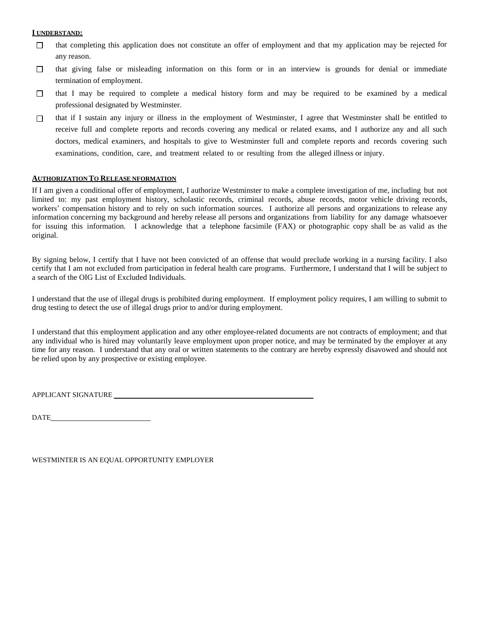#### **I UNDERSTAND:**

- that completing this application does not constitute an offer of employment and that my application may be rejected for  $\Box$ any reason.
- that giving false or misleading information on this form or in an interview is grounds for denial or immediate  $\Box$ termination of employment.
- that I may be required to complete a medical history form and may be required to be examined by a medical  $\Box$ professional designated by Westminster.
- that if I sustain any injury or illness in the employment of Westminster, I agree that Westminster shall be entitled to  $\Box$ receive full and complete reports and records covering any medical or related exams, and I authorize any and all such doctors, medical examiners, and hospitals to give to Westminster full and complete reports and records covering such examinations, condition, care, and treatment related to or resulting from the alleged illness or injury.

#### **AUTHORIZATION TO RELEASE NFORMATION**

If I am given a conditional offer of employment, I authorize Westminster to make a complete investigation of me, including but not limited to: my past employment history, scholastic records, criminal records, abuse records, motor vehicle driving records, workers' compensation history and to rely on such information sources. I authorize all persons and organizations to release any information concerning my background and hereby release all persons and organizations from liability for any damage whatsoever for issuing this information. I acknowledge that a telephone facsimile (FAX) or photographic copy shall be as valid as the original.

By signing below, I certify that I have not been convicted of an offense that would preclude working in a nursing facility. I also certify that I am not excluded from participation in federal health care programs. Furthermore, I understand that I will be subject to a search of the OIG List of Excluded Individuals.

I understand that the use of illegal drugs is prohibited during employment. If employment policy requires, I am willing to submit to drug testing to detect the use of illegal drugs prior to and/or during employment.

I understand that this employment application and any other employee-related documents are not contracts of employment; and that any individual who is hired may voluntarily leave employment upon proper notice, and may be terminated by the employer at any time for any reason. I understand that any oral or written statements to the contrary are hereby expressly disavowed and should not be relied upon by any prospective or existing employee.

APPLICANT SIGNATURE

DATE

WESTMINTER IS AN EQUAL OPPORTUNITY EMPLOYER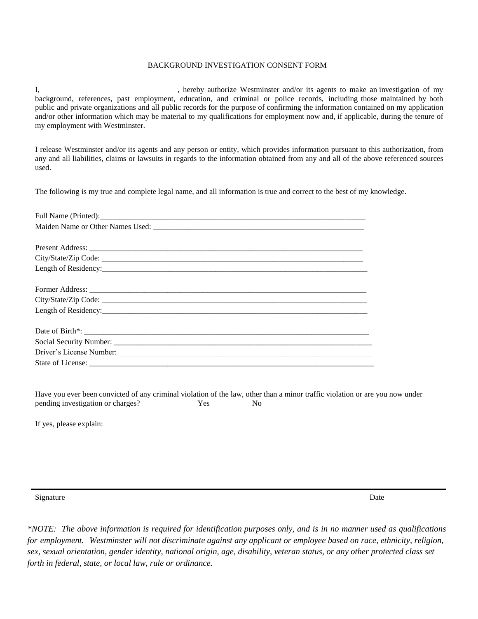#### BACKGROUND INVESTIGATION CONSENT FORM

I, hereby authorize Westminster and/or its agents to make an investigation of my background, references, past employment, education, and criminal or police records, including those maintained by both public and private organizations and all public records for the purpose of confirming the information contained on my application and/or other information which may be material to my qualifications for employment now and, if applicable, during the tenure of my employment with Westminster.

I release Westminster and/or its agents and any person or entity, which provides information pursuant to this authorization, from any and all liabilities, claims or lawsuits in regards to the information obtained from any and all of the above referenced sources used.

The following is my true and complete legal name, and all information is true and correct to the best of my knowledge.

Have you ever been convicted of any criminal violation of the law, other than a minor traffic violation or are you now under pending investigation or charges? Yes No

If yes, please explain:

Signature Date **Date** Date of the Second State of the Second State of the Date of the Date of the Date of the Date of the Date of the Date of the Date of the Date of the Date of the Date of the Date of the Date of the Date

\*NOTE: The above information is required for identification purposes only, and is in no manner used as qualifications *for employment. Westminster will not discriminate against any applicant or employee based on race, ethnicity, religion, sex, sexual orientation, gender identity, national origin, age, disability, veteran status, or any other protected class set forth in federal, state, or local law, rule or ordinance.*